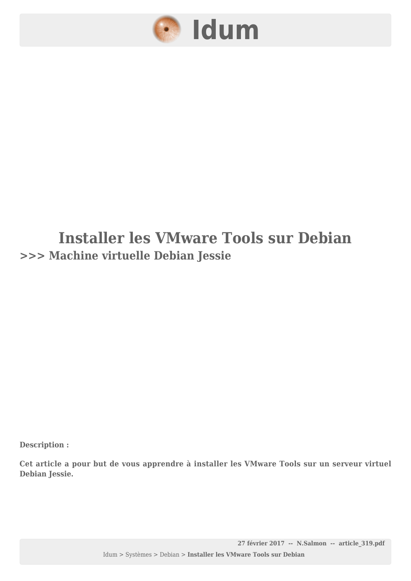

### **Installer les VMware Tools sur Debian >>> Machine virtuelle Debian Jessie**

**Description :**

**Cet article a pour but de vous apprendre à installer les VMware Tools sur un serveur virtuel Debian Jessie.**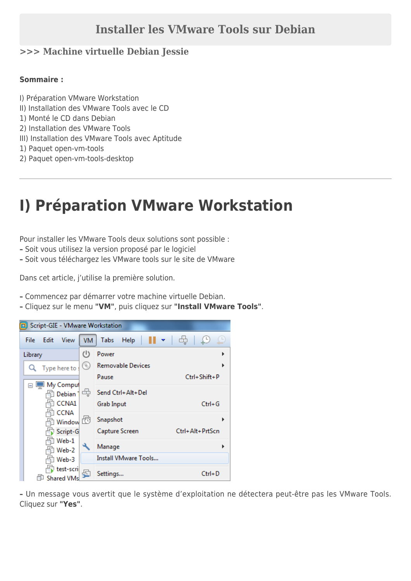#### **Installer les VMware Tools sur Debian**

#### **>>> Machine virtuelle Debian Jessie**

#### **Sommaire :**

- I) Préparation VMware Workstation
- II) Installation des VMware Tools avec le CD
- 1) Monté le CD dans Debian
- 2) Installation des VMware Tools
- III) Installation des VMware Tools avec Aptitude
- 1) Paquet open-vm-tools
- 2) Paquet open-vm-tools-desktop

## **I) Préparation VMware Workstation**

Pour installer les VMware Tools deux solutions sont possible :

- **–** Soit vous utilisez la version proposé par le logiciel
- **–** Soit vous téléchargez les VMware tools sur le site de VMware

Dans cet article, j'utilise la première solution.

- **–** Commencez par démarrer votre machine virtuelle Debian.
- **–** Cliquez sur le menu **"VM"**, puis cliquez sur **"Install VMware Tools"**.



**–** Un message vous avertit que le système d'exploitation ne détectera peut-être pas les VMware Tools. Cliquez sur **"Yes"**.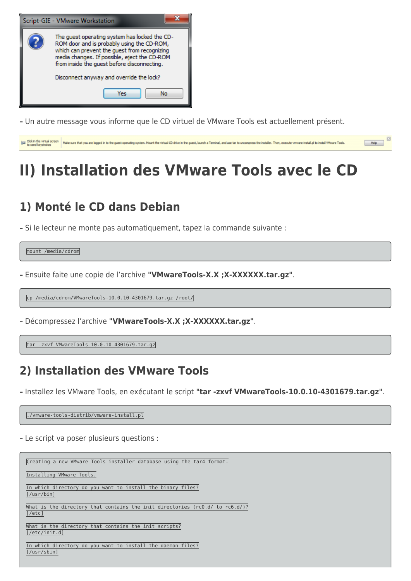

**–** Un autre message vous informe que le CD virtuel de VMware Tools est actuellement présent.



## **II) Installation des VMware Tools avec le CD**

### **1) Monté le CD dans Debian**

**–** Si le lecteur ne monte pas automatiquement, tapez la commande suivante :

mount /media/cdrom

**–** Ensuite faite une copie de l'archive **"VMwareTools-X.X ;X-XXXXXX.tar.gz"**.

cp /media/cdrom/VMwareTools-10.0.10-4301679.tar.gz /root/

**–** Décompressez l'archive **"VMwareTools-X.X ;X-XXXXXX.tar.gz"**.

tar -zxvf VMwareTools-10.0.10-4301679.tar.gz

### **2) Installation des VMware Tools**

**–** Installez les VMware Tools, en exécutant le script **"tar -zxvf VMwareTools-10.0.10-4301679.tar.gz"**.

./vmware-tools-distrib/vmware-install.pl

**–** Le script va poser plusieurs questions :

Creating a new VMware Tools installer database using the tar4 format. Installing VMware Tools. In which directory do you want to install the binary files? [/usr/bin] What is the directory that contains the init directories (rc0.d/ to rc6.d/)? [/etc] What is the directory that contains the init scripts? [/etc/init.d] In which directory do you want to install the daemon files? [/usr/sbin]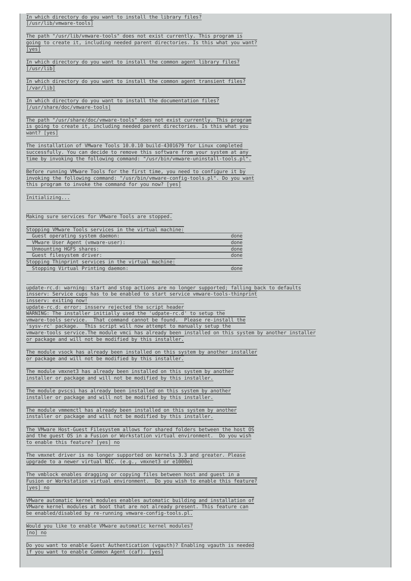In which directory do you want to install the library files? [/usr/lib/vmware-tools]

The path "/usr/lib/vmware-tools" does not exist currently. This program is going to create it, including needed parent directories. Is this what you want? [yes]

In which directory do you want to install the common agent library files? [/usr/lib]

In which directory do you want to install the common agent transient files? [/var/lib]

In which directory do you want to install the documentation files? [/usr/share/doc/vmware-tools]

The path "/usr/share/doc/vmware-tools" does not exist currently. This program is going to create it, including needed parent directories. Is this what you want? [yes]

The installation of VMware Tools 10.0.10 build-4301679 for Linux completed successfully. You can decide to remove this software from your system at any time by invoking the following command: "/usr/bin/vmware-uninstall-tools.pl".

Before running VMware Tools for the first time, you need to configure it by invoking the following command: "/usr/bin/vmware-config-tools.pl". Do you want this program to invoke the command for you now? [yes]

Initializing...

Making sure services for VMware Tools are stopped.

| Stopping VMware Tools services in the virtual machine: |      |
|--------------------------------------------------------|------|
| Guest operating system daemon:                         | done |
| VMware User Agent (vmware-user):                       | done |
| Unmounting HGFS shares:                                | done |
| Guest filesystem driver:                               | done |
| Stopping Thinprint services in the virtual machine:    |      |
| Stopping Virtual Printing daemon:                      | done |
|                                                        |      |

update-rc.d: warning: start and stop actions are no longer supported; falling back to defaults insserv: Service cups has to be enabled to start service vmware-tools-thinprint insserv: exiting now! update-rc.d: error: insserv rejected the script header WARNING: The installer initially used the 'udpate-rc.d' to setup the vmware-tools service. That command cannot be found. Please re-install the 'sysv-rc' package. This script will now attempt to manually setup the vmware-tools service.The module vmci has already been installed on this system by another installer or package and will not be modified by this installer.

The module vsock has already been installed on this system by another installer or package and will not be modified by this installer.

The module vmxnet3 has already been installed on this system by another installer or package and will not be modified by this installer.

The module pvscsi has already been installed on this system by another installer or package and will not be modified by this installer.

The module vmmemctl has already been installed on this system by another installer or package and will not be modified by this installer.

The VMware Host-Guest Filesystem allows for shared folders between the host OS and the guest OS in a Fusion or Workstation virtual environment. Do you wish to enable this feature? [yes] no

The vmxnet driver is no longer supported on kernels 3.3 and greater. Please upgrade to a newer virtual NIC. (e.g., vmxnet3 or e1000e)

The vmblock enables dragging or copying files between host and guest in a Fusion or Workstation virtual environment. Do you wish to enable this feature? [yes] no

VMware automatic kernel modules enables automatic building and installation of VMware kernel modules at boot that are not already present. This feature can be enabled/disabled by re-running vmware-config-tools.pl.

Would you like to enable VMware automatic kernel modules? [no] no

Do you want to enable Guest Authentication (vgauth)? Enabling vgauth is needed if you want to enable Common Agent (caf). [yes]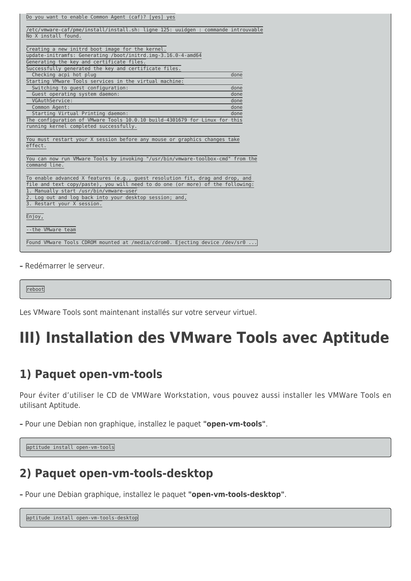| Do you want to enable Common Agent (caf)? [yes] yes                                                                                                                                                                                                                                                             |              |  |
|-----------------------------------------------------------------------------------------------------------------------------------------------------------------------------------------------------------------------------------------------------------------------------------------------------------------|--------------|--|
| /etc/vmware-caf/pme/install/install.sh: ligne 125: uuidgen : commande introuvable                                                                                                                                                                                                                               |              |  |
| No X install found.                                                                                                                                                                                                                                                                                             |              |  |
|                                                                                                                                                                                                                                                                                                                 |              |  |
| Creating a new initrd boot image for the kernel.                                                                                                                                                                                                                                                                |              |  |
| update-initramfs: Generating /boot/initrd.img-3.16.0-4-amd64                                                                                                                                                                                                                                                    |              |  |
| Generating the key and certificate files.                                                                                                                                                                                                                                                                       |              |  |
| Successfully generated the key and certificate files.                                                                                                                                                                                                                                                           |              |  |
| Checking acpi hot plug                                                                                                                                                                                                                                                                                          | done         |  |
| Starting VMware Tools services in the virtual machine:                                                                                                                                                                                                                                                          |              |  |
| Switching to guest configuration:<br>Guest operating system daemon:                                                                                                                                                                                                                                             | done<br>done |  |
| VGAuthService:                                                                                                                                                                                                                                                                                                  | done         |  |
| Common Agent:                                                                                                                                                                                                                                                                                                   | done         |  |
| Starting Virtual Printing daemon:                                                                                                                                                                                                                                                                               | done         |  |
| The configuration of VMware Tools 10.0.10 build-4301679 for Linux for this                                                                                                                                                                                                                                      |              |  |
| running kernel completed successfully.                                                                                                                                                                                                                                                                          |              |  |
| You must restart your X session before any mouse or graphics changes take<br>effect.                                                                                                                                                                                                                            |              |  |
| You can now run VMware Tools by invoking "/usr/bin/vmware-toolbox-cmd" from the<br>command line.                                                                                                                                                                                                                |              |  |
| $\overline{10}$ enable advanced X features (e.g., guest resolution fit, drag and drop, and<br>file and text copy/paste), you will need to do one (or more) of the following:<br>1. Manually start /usr/bin/vmware-user<br>2. Log out and log back into your desktop session; and,<br>3. Restart your X session. |              |  |
| Enjoy,                                                                                                                                                                                                                                                                                                          |              |  |
| --the VMware team                                                                                                                                                                                                                                                                                               |              |  |
| Found VMware Tools CDROM mounted at /media/cdrom0. Ejecting device /dev/sr0                                                                                                                                                                                                                                     |              |  |

**–** Redémarrer le serveur.

reboot

Les VMware Tools sont maintenant installés sur votre serveur virtuel.

# **III) Installation des VMware Tools avec Aptitude**

#### **1) Paquet open-vm-tools**

Pour éviter d'utiliser le CD de VMWare Workstation, vous pouvez aussi installer les VMWare Tools en utilisant Aptitude.

**–** Pour une Debian non graphique, installez le paquet **"open-vm-tools"**.

```
aptitude install open-vm-tools
```
### **2) Paquet open-vm-tools-desktop**

**–** Pour une Debian graphique, installez le paquet **"open-vm-tools-desktop"**.

aptitude install open-vm-tools-desktop